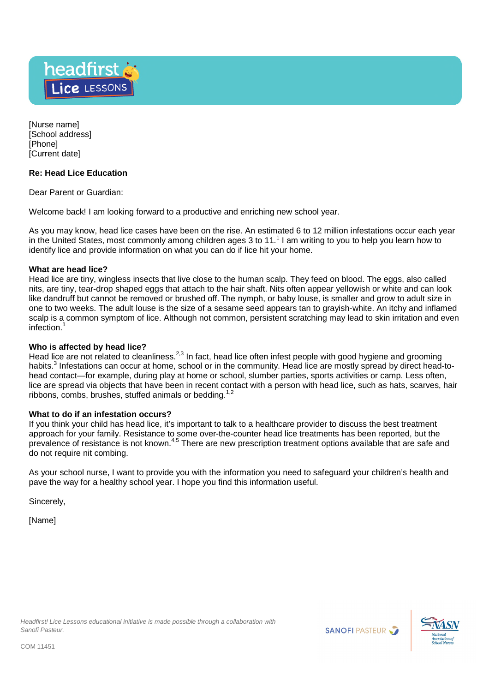

[Nurse name] [School address] [Phone] [Current date]

# **Re: Head Lice Education**

Dear Parent or Guardian:

Welcome back! I am looking forward to a productive and enriching new school year.

As you may know, head lice cases have been on the rise. An estimated 6 to 12 million infestations occur each year in the United States, most commonly among children ages 3 to 11.<sup>1</sup> I am writing to you to help you learn how to identify lice and provide information on what you can do if lice hit your home.

## **What are head lice?**

Head lice are tiny, wingless insects that live close to the human scalp. They feed on blood. The eggs, also called nits, are tiny, tear-drop shaped eggs that attach to the hair shaft. Nits often appear yellowish or white and can look like dandruff but cannot be removed or brushed off. The nymph, or baby louse, is smaller and grow to adult size in one to two weeks. The adult louse is the size of a sesame seed appears tan to grayish-white. An itchy and inflamed scalp is a common symptom of lice. Although not common, persistent scratching may lead to skin irritation and even infection.<sup>1</sup>

### **Who is affected by head lice?**

Head lice are not related to cleanliness.<sup>2,3</sup> In fact, head lice often infest people with good hygiene and grooming habits.<sup>3</sup> Infestations can occur at home, school or in the community. Head lice are mostly spread by direct head-tohead contact—for example, during play at home or school, slumber parties, sports activities or camp. Less often, lice are spread via objects that have been in recent contact with a person with head lice, such as hats, scarves, hair ribbons, combs, brushes, stuffed animals or bedding.<sup>1,2</sup>

### **What to do if an infestation occurs?**

If you think your child has head lice, it's important to talk to a healthcare provider to discuss the best treatment approach for your family. Resistance to some over-the-counter head lice treatments has been reported, but the prevalence of resistance is not known.4,5 There are new prescription treatment options available that are safe and do not require nit combing.

As your school nurse, I want to provide you with the information you need to safeguard your children's health and pave the way for a healthy school year. I hope you find this information useful.

Sincerely,

[Name]



**SANOFI PASTEUR**